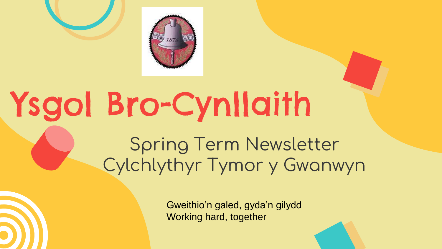

# Ysgol Bro-Cynllaith

Spring Term Newsletter Cylchlythyr Tymor y Gwanwyn

> Gweithio'n galed, gyda'n gilydd Working hard, together

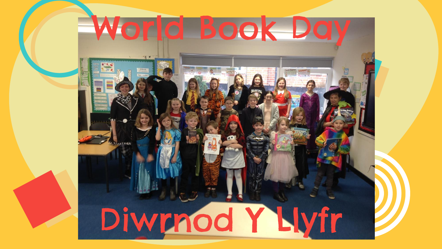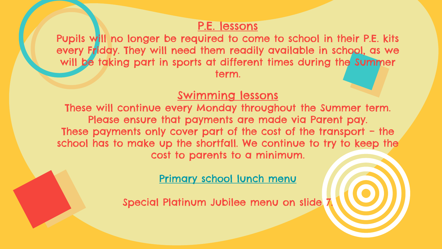### P.E. lessons

Pupils will no longer be required to come to school in their P.E. kits every Friday. They will need them readily available in school, as we will be taking part in sports at different times during the Summer term.

### Swimming lessons

These will continue every Monday throughout the Summer term. Please ensure that payments are made via Parent pay. These payments only cover part of the cost of the transport – the school has to make up the shortfall. We continue to try to keep the cost to parents to a minimum.

[Primary school lunch menu](https://en.powys.gov.uk/article/7120/Primary-School-Meals-and-Prices)

Special Platinum Jubilee menu on slide 7.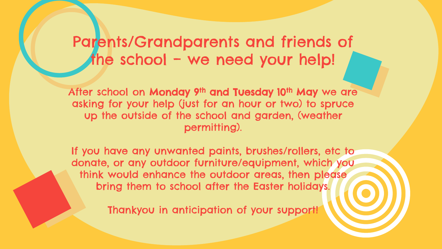## Parents/Grandparents and friends of the school – we need your help!

After school on Monday 9<sup>th</sup> and Tuesday 10<sup>th</sup> May we are asking for your help (just for an hour or two) to spruce up the outside of the school and garden, (weather permitting).

If you have any unwanted paints, brushes/rollers, etc to donate, or any outdoor furniture/equipment, which you think would enhance the outdoor areas, then please bring them to school after the Easter holidays.

Thankyou in anticipation of your support!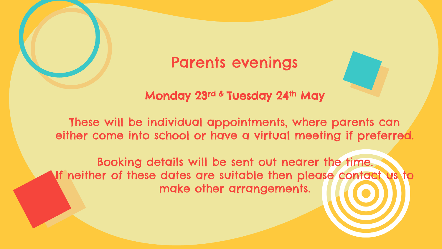## Parents evenings

### Monday 23rd & Tuesday 24th May

These will be individual appointments, where parents can either come into school or have a virtual meeting if preferred.

Booking details will be sent out nearer the time. If neither of these dates are suitable then please contact us to make other arrangements.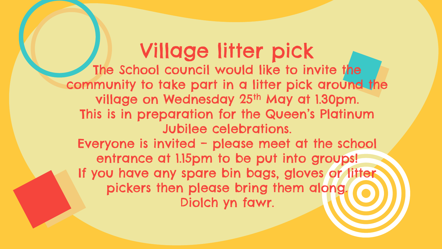Village litter pick The School council would like to invite the community to take part in a litter pick around the village on Wednesday 25th May at 1.30pm. This is in preparation for the Queen's Platinum Jubilee celebrations. Everyone is invited – please meet at the school entrance at 1.15pm to be put into groups! If you have any spare bin bags, gloves or litter pickers then please bring them along. Diolch yn fawr.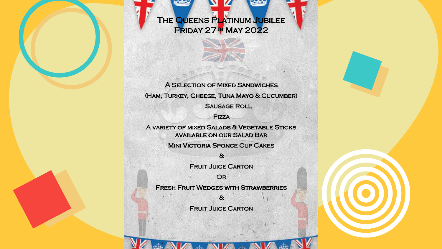THE QUEENS PLATINUM JUBILEE Friday 27th May 2022

**A SELECTION OF MIXED SANDWICHES** (Ham, Turkey, Cheese, Tuna Mayo & Cucumber) **SAUSAGE ROLL** 

**PIZZA** 

A variety of mixed Salads & Vegetable Sticks available on our Salad Bar

Mini Victoria Sponge Cup Cakes

 $\alpha$ **FRUIT JUICE CARTON** 

OR

Fresh Fruit Wedges with Strawberries

 $\alpha$ **FRUIT JUICE CARTON**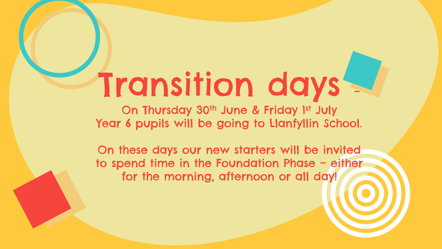# Transition days –

On Thursday 30<sup>th</sup> June & Friday 1st July Year 6 pupils will be going to Llanfyllin School.

On these days our new starters will be invited to spend time in the Foundation Phase – either for the morning, afternoon or all day!